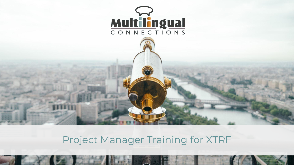

# Project Manager Training for XTRF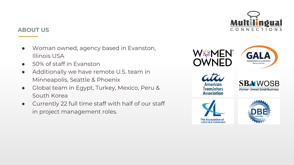

### **ABOUT US**

- Woman owned, agency based in Evanston, Illinois USA
- 50% of staff in Evanston
- Additionally we have remote U.S. team in Minneapolis, Seattle & Phoenix
- Global team in Egypt, Turkey, Mexico, Peru & South Korea
- Currently 22 full time staff with half of our staff in project management roles.

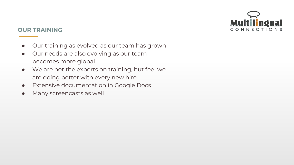

### **OUR TRAINING**

- Our training as evolved as our team has grown
- Our needs are also evolving as our team becomes more global
- We are not the experts on training, but feel we are doing better with every new hire
- Extensive documentation in Google Docs
- Many screencasts as well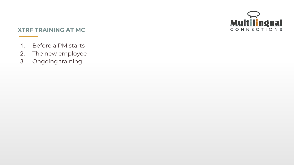

### **XTRF TRAINING AT MC**

- 1. Before a PM starts
- 2. The new employee
- 3. Ongoing training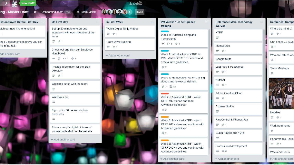| w Employee Before First Day                           | On First Day<br>$\cdots$                                                   | In First Week<br>$\cdots$                  | PM Weeks 1-3: self-guided<br>$\cdots$<br>training                                                                                                                                                                                                                                                                                                                                                                                                                                                          | <b>Reference: Main Technology</b><br>$\cdots$<br>We Use | Reference: Compa                                                                                                                                                                                                                                                                                     |
|-------------------------------------------------------|----------------------------------------------------------------------------|--------------------------------------------|------------------------------------------------------------------------------------------------------------------------------------------------------------------------------------------------------------------------------------------------------------------------------------------------------------------------------------------------------------------------------------------------------------------------------------------------------------------------------------------------------------|---------------------------------------------------------|------------------------------------------------------------------------------------------------------------------------------------------------------------------------------------------------------------------------------------------------------------------------------------------------------|
| atch our new hire orientation!                        | Set-up 20 minute one-on-one<br>interviews with each member of the<br>team. | Watch Digital Ninja Videos<br>$\equiv 0.1$ | Week 1: Practice Pricing and<br>Turnarounds                                                                                                                                                                                                                                                                                                                                                                                                                                                                | <b>XTRF</b><br>m.                                       | Where do I find?<br>$\equiv 01$                                                                                                                                                                                                                                                                      |
| ing I-9 documents to prove you can<br>ork in the U.S. | $\equiv 01$<br>Check out and sign our Employee                             | <b>Team Drive Training</b><br>$\equiv 01$  | $\equiv$ $\wp$ 1 $\otimes$ 1<br>Week 1: Introduction to XTRF for<br>PMs. Watch XTRF 101 videos and<br>review Intro guidelines.<br>$\oslash$ 2<br>Week 1: Memsource: Watch training<br>videos and review guidelines.<br>2 2 Ⅰ 0/6<br>Week 2: Advanced XTRF - watch<br>XTRF 102 videos and read<br>Advanced guidelines<br>$\odot$ 2<br>Week 3: Advanced XTRF - watch<br>XTRF 201 videos and continue with<br>Advanced guidelines<br>@2<br>Week 3: Advanced XTRF - watch<br>XTRF 202 videos and continue with | Memsource<br>$\equiv 01$                                | Can I have? (Eval<br>@1                                                                                                                                                                                                                                                                              |
| Add another card                                      | Handbook!<br>$\odot$ $\equiv$ $\odot$ 1 $\odot$ 1                          | + Add another card                         |                                                                                                                                                                                                                                                                                                                                                                                                                                                                                                            | Google Suite                                            | Who do I talk to whe<br>$\oslash$ 1                                                                                                                                                                                                                                                                  |
|                                                       | Provide information for the Staff<br>Directory<br>$\equiv 01$              |                                            |                                                                                                                                                                                                                                                                                                                                                                                                                                                                                                            | LastPass & Passwords<br>$\equiv 01$                     | <b>Team Meetings</b>                                                                                                                                                                                                                                                                                 |
|                                                       | Welcome lunch with the team!<br>≡                                          |                                            |                                                                                                                                                                                                                                                                                                                                                                                                                                                                                                            | Nutshell<br>$\equiv 01$                                 |                                                                                                                                                                                                                                                                                                      |
|                                                       | Write your bio<br>≣                                                        |                                            |                                                                                                                                                                                                                                                                                                                                                                                                                                                                                                            | Adobe Creative Cloud<br>$\equiv 01$                     |                                                                                                                                                                                                                                                                                                      |
|                                                       | Sign up for GALA and explore<br>resources                                  |                                            |                                                                                                                                                                                                                                                                                                                                                                                                                                                                                                            | <b>Express Scribe</b>                                   | Huddles                                                                                                                                                                                                                                                                                              |
|                                                       | ≡<br>Share a couple digital pictures of                                    |                                            |                                                                                                                                                                                                                                                                                                                                                                                                                                                                                                            | RingCentral & Phones/Fax<br>$\equiv 01$                 | $\equiv 01$<br>Work from home<br>m and the set of the set of the set of the set of the set of the set of the set of the set of the set of the set of the set of the set of the set of the set of the set of the set of the set of the set of the set of the set<br>Performance Review<br>$\equiv 01$ |
|                                                       | vourself with Mark for the website<br>+ Add another card                   |                                            |                                                                                                                                                                                                                                                                                                                                                                                                                                                                                                            | Gusto Payroll and 401k<br>≡                             |                                                                                                                                                                                                                                                                                                      |
|                                                       |                                                                            |                                            |                                                                                                                                                                                                                                                                                                                                                                                                                                                                                                            | Professional development<br>$\equiv 0.6$                |                                                                                                                                                                                                                                                                                                      |
|                                                       |                                                                            |                                            | Advanced guidelines<br>+ Add another card                                                                                                                                                                                                                                                                                                                                                                                                                                                                  | + Add another card                                      | Weekend Hours<br>+ Add another card                                                                                                                                                                                                                                                                  |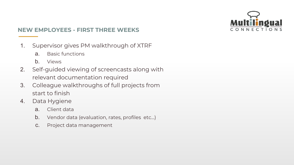

## **NEW EMPLOYEES - FIRST THREE WEEKS**

- 1. Supervisor gives PM walkthrough of XTRF
	- a. Basic functions
	- b. Views
- 2. Self-guided viewing of screencasts along with relevant documentation required
- 3. Colleague walkthroughs of full projects from start to finish
- 4. Data Hygiene
	- a. Client data
	- b. Vendor data (evaluation, rates, profiles etc…)
	- c. Project data management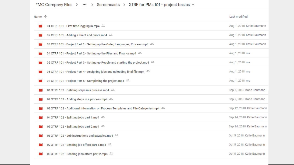#### \*MC Company Files > ... > Screencasts > XTRF for PMs 101 - project basics =

| Name 个 |                                                                                     | Last modified              |
|--------|-------------------------------------------------------------------------------------|----------------------------|
|        | 01 XTRF 101 - First time logging in.mp4                                             | Aug 1, 2018 Katie Baumann  |
|        | 02 XTRF 101 - Adding a client and quote.mp4 =                                       | Aug 1, 2018 Katie Baumann  |
|        | 03 XTRF 101 - Project Part 1 - Setting up the Order, Languages, Process.mp4         | Aug 1, 2018 Katie Baumann  |
|        | 04 XTRF 101 - Project Part 2 - Setting up the Files and Finance.mp4 =               | Aug 1, 2018 me             |
|        | 05 XTRF 101 - Project Part 3 - Setting up People and starting the project.mp4 ==    | Aug 1, 2018 me             |
|        | 06 XTRF 101 - Project Part 4 - Assigning jobs and uploading final file.mp4          | Aug 1, 2018 me             |
|        | 07 XTRF 101 - Project Part 5 - Completing the project.mp4                           | Aug 1, 2018 me             |
|        | 01 XTRF 102 - Deleting steps in a process.mp4 =                                     | Sep 7, 2018 Katie Baumann  |
|        | 02 XTRF 102 - Adding steps in a process.mp4 -                                       | Sep 7, 2018 Katie Baumann  |
|        | 03 XTRF 102 - Additional information on Process Templates and File Categories.mp4 4 | Sep 12, 2018 Katie Baumann |
|        | 04 XTRF 102 - Splitting jobs part 1.mp4 $\stackrel{a.s.}{\longrightarrow}$          | Sep 14, 2018 Katie Baumann |
|        | 05 XTRF 102 - Splitting jobs part 2.mp4 =                                           | Sep 14, 2018 Katie Baumann |
|        | 06 XTRF 102 - Job instructions and payables.mp4 4                                   | Oct 5, 2018 Katie Baumann  |
|        | 07 XTRF 102 - Sending job offers part 1.mp4                                         | Oct 5, 2018 Katie Baumann  |
|        | 08 XTRF 102 - Sending jobs offers part 2.mp4 $\stackrel{a}{\longrightarrow}$        | Oct 5, 2018 Katie Baumann  |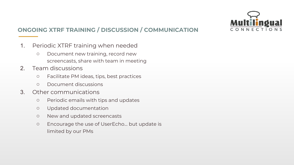

# **ONGOING XTRF TRAINING / DISCUSSION / COMMUNICATION**

- 1. Periodic XTRF training when needed
	- Document new training, record new screencasts, share with team in meeting
- 2. Team discussions
	- Facilitate PM ideas, tips, best practices
	- Document discussions
- 3. Other communications
	- Periodic emails with tips and updates
	- Updated documentation
	- New and updated screencasts
	- Encourage the use of UserEcho… but update is limited by our PMs